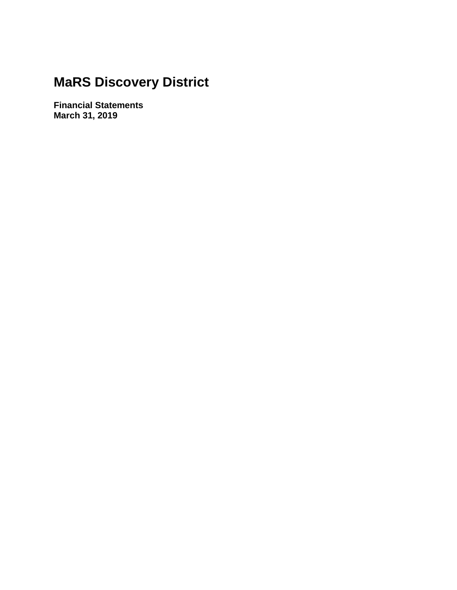**Financial Statements March 31, 2019**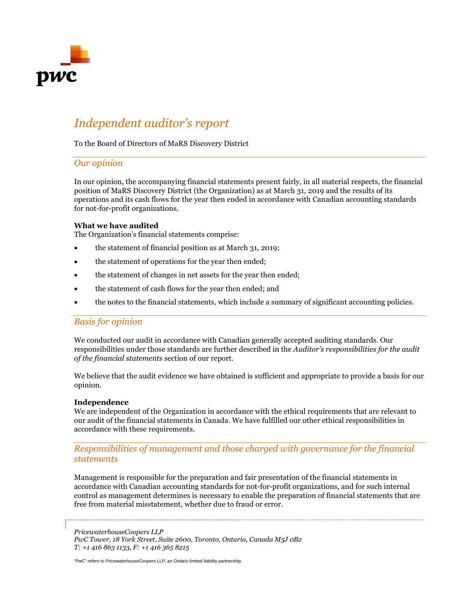

# *Independent auditor's report*

To the Board of Directors of MaRS Discovery District

# *Our opinion*

In our opinion, the accompanying financial statements present fairly, in all material respects, the financial position of MaRS Discovery District (the Organization) as at March 31, 2019 and the results of its operations and its cash flows for the year then ended in accordance with Canadian accounting standards for not-for-profit organizations.

# **What we have audited**

The Organization's financial statements comprise:

- the statement of financial position as at March 31, 2019;
- the statement of operations for the year then ended;
- the statement of changes in net assets for the year then ended;
- the statement of cash flows for the year then ended; and
- the notes to the financial statements, which include a summary of significant accounting policies.

# *Basis for opinion*

We conducted our audit in accordance with Canadian generally accepted auditing standards. Our responsibilities under those standards are further described in the *Auditor's responsibilities for the audit of the financial statements* section of our report.

We believe that the audit evidence we have obtained is sufficient and appropriate to provide a basis for our opinion.

# **Independence**

We are independent of the Organization in accordance with the ethical requirements that are relevant to our audit of the financial statements in Canada. We have fulfilled our other ethical responsibilities in accordance with these requirements.

# *Responsibilities of management and those charged with governance for the financial statements*

Management is responsible for the preparation and fair presentation of the financial statements in accordance with Canadian accounting standards for not-for-profit organizations, and for such internal control as management determines is necessary to enable the preparation of financial statements that are free from material misstatement, whether due to fraud or error.

*PricewaterhouseCoopers LLP PwC Tower, 18 York Street, Suite 2600, Toronto, Ontario, Canada M5J 0B2 T: +1 416 863 1133, F: +1 416 365 8215* 

"PwC" refers to PricewaterhouseCoopers LLP, an Ontario limited liability partnership.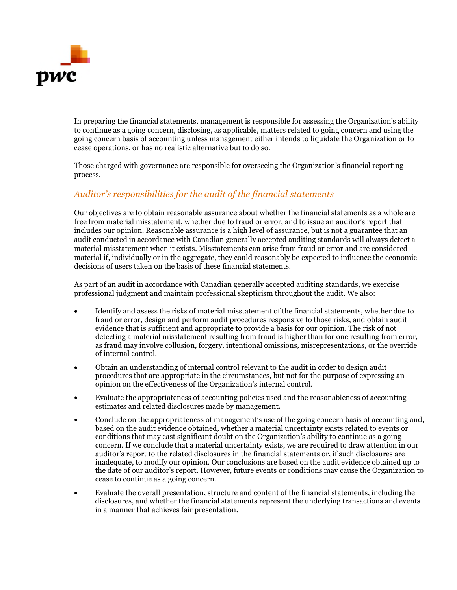

In preparing the financial statements, management is responsible for assessing the Organization's ability to continue as a going concern, disclosing, as applicable, matters related to going concern and using the going concern basis of accounting unless management either intends to liquidate the Organization or to cease operations, or has no realistic alternative but to do so.

Those charged with governance are responsible for overseeing the Organization's financial reporting process.

# *Auditor's responsibilities for the audit of the financial statements*

Our objectives are to obtain reasonable assurance about whether the financial statements as a whole are free from material misstatement, whether due to fraud or error, and to issue an auditor's report that includes our opinion. Reasonable assurance is a high level of assurance, but is not a guarantee that an audit conducted in accordance with Canadian generally accepted auditing standards will always detect a material misstatement when it exists. Misstatements can arise from fraud or error and are considered material if, individually or in the aggregate, they could reasonably be expected to influence the economic decisions of users taken on the basis of these financial statements.

As part of an audit in accordance with Canadian generally accepted auditing standards, we exercise professional judgment and maintain professional skepticism throughout the audit. We also:

- Identify and assess the risks of material misstatement of the financial statements, whether due to fraud or error, design and perform audit procedures responsive to those risks, and obtain audit evidence that is sufficient and appropriate to provide a basis for our opinion. The risk of not detecting a material misstatement resulting from fraud is higher than for one resulting from error, as fraud may involve collusion, forgery, intentional omissions, misrepresentations, or the override of internal control.
- Obtain an understanding of internal control relevant to the audit in order to design audit procedures that are appropriate in the circumstances, but not for the purpose of expressing an opinion on the effectiveness of the Organization's internal control.
- Evaluate the appropriateness of accounting policies used and the reasonableness of accounting estimates and related disclosures made by management.
- Conclude on the appropriateness of management's use of the going concern basis of accounting and, based on the audit evidence obtained, whether a material uncertainty exists related to events or conditions that may cast significant doubt on the Organization's ability to continue as a going concern. If we conclude that a material uncertainty exists, we are required to draw attention in our auditor's report to the related disclosures in the financial statements or, if such disclosures are inadequate, to modify our opinion. Our conclusions are based on the audit evidence obtained up to the date of our auditor's report. However, future events or conditions may cause the Organization to cease to continue as a going concern.
- Evaluate the overall presentation, structure and content of the financial statements, including the disclosures, and whether the financial statements represent the underlying transactions and events in a manner that achieves fair presentation.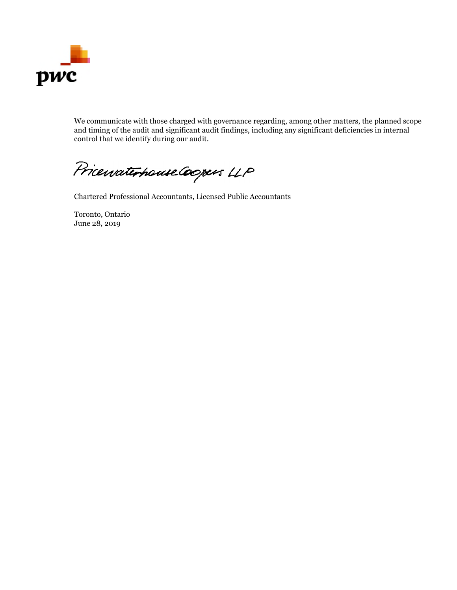

We communicate with those charged with governance regarding, among other matters, the planned scope and timing of the audit and significant audit findings, including any significant deficiencies in internal control that we identify during our audit.

Pricewaterhouse Coopers LLP

Chartered Professional Accountants, Licensed Public Accountants

Toronto, Ontario June 28, 2019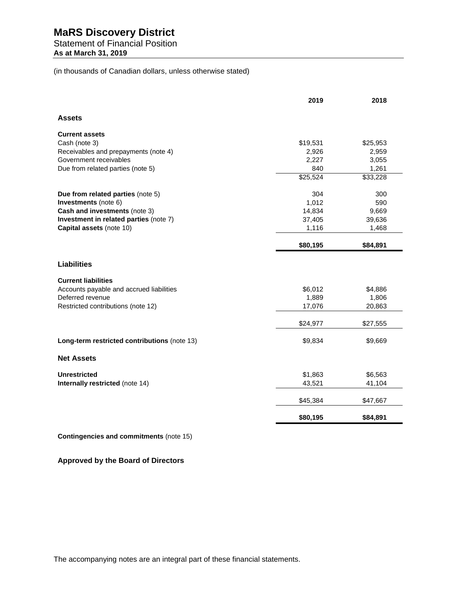# Statement of Financial Position **As at March 31, 2019**

(in thousands of Canadian dollars, unless otherwise stated)

|                                              | 2019     | 2018     |
|----------------------------------------------|----------|----------|
| <b>Assets</b>                                |          |          |
| <b>Current assets</b>                        |          |          |
| Cash (note 3)                                | \$19,531 | \$25,953 |
| Receivables and prepayments (note 4)         | 2,926    | 2,959    |
| Government receivables                       | 2,227    | 3,055    |
| Due from related parties (note 5)            | 840      | 1,261    |
|                                              | \$25,524 | \$33,228 |
| Due from related parties (note 5)            | 304      | 300      |
| Investments (note 6)                         | 1,012    | 590      |
| Cash and investments (note 3)                | 14,834   | 9,669    |
| Investment in related parties (note 7)       | 37,405   | 39,636   |
| Capital assets (note 10)                     | 1,116    | 1,468    |
|                                              | \$80,195 | \$84,891 |
| <b>Liabilities</b>                           |          |          |
| <b>Current liabilities</b>                   |          |          |
| Accounts payable and accrued liabilities     | \$6,012  | \$4,886  |
| Deferred revenue                             | 1,889    | 1,806    |
| Restricted contributions (note 12)           | 17,076   | 20,863   |
|                                              | \$24,977 | \$27,555 |
| Long-term restricted contributions (note 13) | \$9,834  | \$9,669  |
| <b>Net Assets</b>                            |          |          |
| <b>Unrestricted</b>                          | \$1,863  | \$6,563  |
| Internally restricted (note 14)              | 43,521   | 41,104   |
|                                              | \$45,384 | \$47,667 |
|                                              | \$80,195 | \$84,891 |

**Contingencies and commitments** (note 15)

**Approved by the Board of Directors**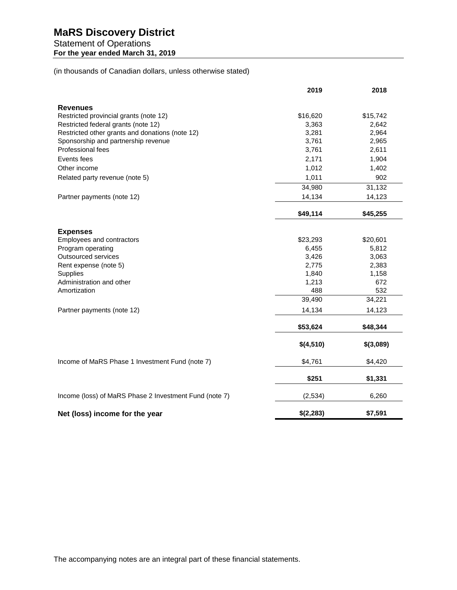# Statement of Operations **For the year ended March 31, 2019**

(in thousands of Canadian dollars, unless otherwise stated)

|                                                        | 2019      | 2018      |
|--------------------------------------------------------|-----------|-----------|
| <b>Revenues</b>                                        |           |           |
| Restricted provincial grants (note 12)                 | \$16,620  | \$15,742  |
| Restricted federal grants (note 12)                    | 3,363     | 2,642     |
| Restricted other grants and donations (note 12)        | 3,281     | 2,964     |
| Sponsorship and partnership revenue                    | 3,761     | 2,965     |
| Professional fees                                      | 3,761     | 2,611     |
| Events fees                                            | 2,171     | 1,904     |
| Other income                                           | 1,012     | 1,402     |
| Related party revenue (note 5)                         | 1,011     | 902       |
|                                                        | 34,980    | 31,132    |
| Partner payments (note 12)                             | 14,134    | 14,123    |
|                                                        | \$49,114  | \$45,255  |
|                                                        |           |           |
| <b>Expenses</b>                                        |           |           |
| Employees and contractors                              | \$23,293  | \$20,601  |
| Program operating                                      | 6,455     | 5,812     |
| Outsourced services                                    | 3,426     | 3,063     |
| Rent expense (note 5)                                  | 2,775     | 2,383     |
| Supplies                                               | 1,840     | 1,158     |
| Administration and other                               | 1,213     | 672       |
| Amortization                                           | 488       | 532       |
|                                                        | 39,490    | 34,221    |
| Partner payments (note 12)                             | 14,134    | 14,123    |
|                                                        | \$53,624  | \$48,344  |
|                                                        | \$(4,510) | \$(3,089) |
| Income of MaRS Phase 1 Investment Fund (note 7)        | \$4,761   | \$4,420   |
|                                                        | \$251     | \$1,331   |
| Income (loss) of MaRS Phase 2 Investment Fund (note 7) | (2, 534)  | 6,260     |
| Net (loss) income for the year                         | \$(2,283) | \$7,591   |

The accompanying notes are an integral part of these financial statements.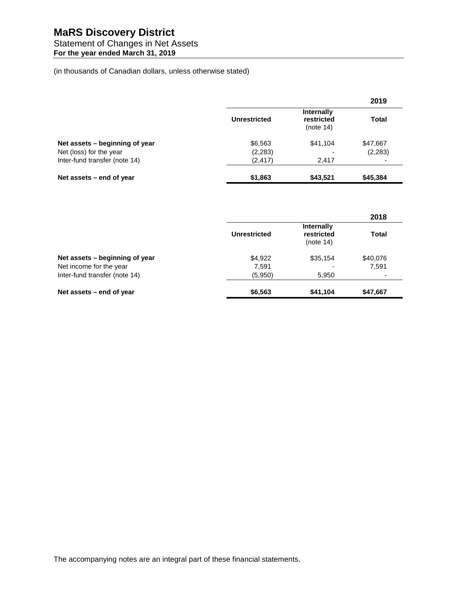# Statement of Changes in Net Assets

**For the year ended March 31, 2019** 

(in thousands of Canadian dollars, unless otherwise stated)

|                                |              |                                              | 2019     |
|--------------------------------|--------------|----------------------------------------------|----------|
|                                | Unrestricted | <b>Internally</b><br>restricted<br>(note 14) | Total    |
| Net assets – beginning of year | \$6,563      | \$41.104                                     | \$47,667 |
| Net (loss) for the year        | (2, 283)     |                                              | (2,283)  |
| Inter-fund transfer (note 14)  | (2, 417)     | 2.417                                        |          |
| Net assets – end of year       | \$1,863      | \$43,521                                     | \$45,384 |

|                                |              |                                       | 2018     |
|--------------------------------|--------------|---------------------------------------|----------|
|                                | Unrestricted | Internally<br>restricted<br>(note 14) | Total    |
| Net assets – beginning of year | \$4,922      | \$35,154                              | \$40,076 |
| Net income for the year        | 7,591        |                                       | 7,591    |
| Inter-fund transfer (note 14)  | (5,950)      | 5,950                                 |          |
| Net assets – end of year       | \$6,563      | \$41,104                              | \$47,667 |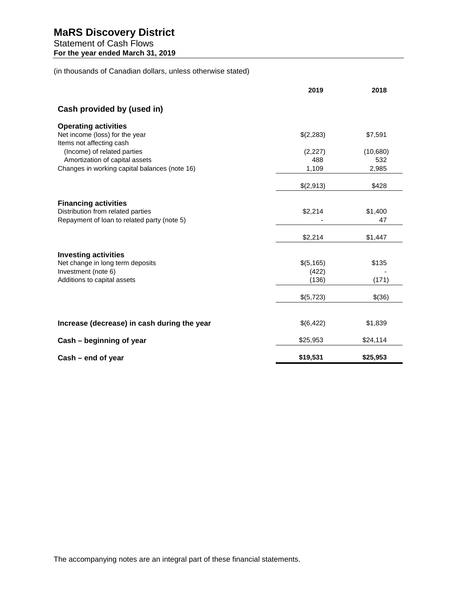Statement of Cash Flows **For the year ended March 31, 2019** 

(in thousands of Canadian dollars, unless otherwise stated)

|                                                               | 2019           | 2018            |
|---------------------------------------------------------------|----------------|-----------------|
| Cash provided by (used in)                                    |                |                 |
| <b>Operating activities</b>                                   |                |                 |
| Net income (loss) for the year<br>Items not affecting cash    | \$(2,283)      | \$7,591         |
| (Income) of related parties<br>Amortization of capital assets | (2,227)<br>488 | (10,680)<br>532 |
| Changes in working capital balances (note 16)                 | 1,109          | 2,985           |
|                                                               | \$(2,913)      | \$428           |
| <b>Financing activities</b>                                   |                |                 |
| Distribution from related parties                             | \$2,214        | \$1,400         |
| Repayment of loan to related party (note 5)                   |                | 47              |
|                                                               | \$2,214        | \$1,447         |
| <b>Investing activities</b>                                   |                |                 |
| Net change in long term deposits                              | \$(5,165)      | \$135           |
| Investment (note 6)<br>Additions to capital assets            | (422)<br>(136) | (171)           |
|                                                               | \$(5,723)      | \$(36)          |
|                                                               |                |                 |
| Increase (decrease) in cash during the year                   | \$(6,422)      | \$1,839         |
| Cash - beginning of year                                      | \$25,953       | \$24,114        |
| Cash – end of year                                            | \$19,531       | \$25,953        |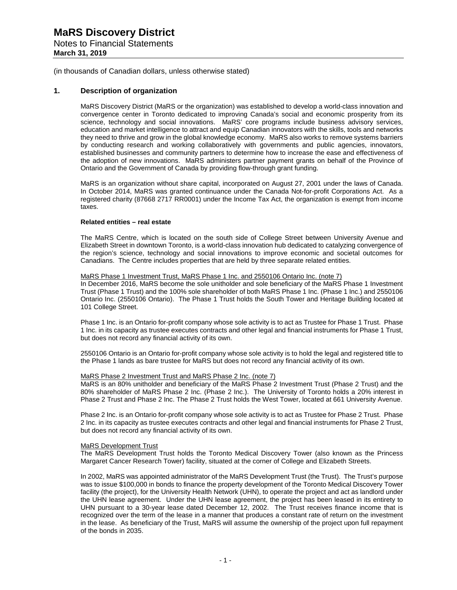Notes to Financial Statements **March 31, 2019** 

(in thousands of Canadian dollars, unless otherwise stated)

# **1. Description of organization**

MaRS Discovery District (MaRS or the organization) was established to develop a world-class innovation and convergence center in Toronto dedicated to improving Canada's social and economic prosperity from its science, technology and social innovations. MaRS' core programs include business advisory services, education and market intelligence to attract and equip Canadian innovators with the skills, tools and networks they need to thrive and grow in the global knowledge economy. MaRS also works to remove systems barriers by conducting research and working collaboratively with governments and public agencies, innovators, established businesses and community partners to determine how to increase the ease and effectiveness of the adoption of new innovations. MaRS administers partner payment grants on behalf of the Province of Ontario and the Government of Canada by providing flow-through grant funding.

MaRS is an organization without share capital, incorporated on August 27, 2001 under the laws of Canada. In October 2014, MaRS was granted continuance under the Canada Not-for-profit Corporations Act. As a registered charity (87668 2717 RR0001) under the Income Tax Act, the organization is exempt from income taxes.

#### **Related entities – real estate**

The MaRS Centre, which is located on the south side of College Street between University Avenue and Elizabeth Street in downtown Toronto, is a world-class innovation hub dedicated to catalyzing convergence of the region's science, technology and social innovations to improve economic and societal outcomes for Canadians. The Centre includes properties that are held by three separate related entities.

MaRS Phase 1 Investment Trust, MaRS Phase 1 Inc. and 2550106 Ontario Inc. (note 7)

In December 2016, MaRS become the sole unitholder and sole beneficiary of the MaRS Phase 1 Investment Trust (Phase 1 Trust) and the 100% sole shareholder of both MaRS Phase 1 Inc. (Phase 1 Inc.) and 2550106 Ontario Inc. (2550106 Ontario). The Phase 1 Trust holds the South Tower and Heritage Building located at 101 College Street.

Phase 1 Inc. is an Ontario for-profit company whose sole activity is to act as Trustee for Phase 1 Trust. Phase 1 Inc. in its capacity as trustee executes contracts and other legal and financial instruments for Phase 1 Trust, but does not record any financial activity of its own.

2550106 Ontario is an Ontario for-profit company whose sole activity is to hold the legal and registered title to the Phase 1 lands as bare trustee for MaRS but does not record any financial activity of its own.

#### MaRS Phase 2 Investment Trust and MaRS Phase 2 Inc. (note 7)

MaRS is an 80% unitholder and beneficiary of the MaRS Phase 2 Investment Trust (Phase 2 Trust) and the 80% shareholder of MaRS Phase 2 Inc. (Phase 2 Inc.). The University of Toronto holds a 20% interest in Phase 2 Trust and Phase 2 Inc. The Phase 2 Trust holds the West Tower, located at 661 University Avenue.

Phase 2 Inc. is an Ontario for-profit company whose sole activity is to act as Trustee for Phase 2 Trust. Phase 2 Inc. in its capacity as trustee executes contracts and other legal and financial instruments for Phase 2 Trust, but does not record any financial activity of its own.

### MaRS Development Trust

The MaRS Development Trust holds the Toronto Medical Discovery Tower (also known as the Princess Margaret Cancer Research Tower) facility, situated at the corner of College and Elizabeth Streets.

In 2002, MaRS was appointed administrator of the MaRS Development Trust (the Trust). The Trust's purpose was to issue \$100,000 in bonds to finance the property development of the Toronto Medical Discovery Tower facility (the project), for the University Health Network (UHN), to operate the project and act as landlord under the UHN lease agreement. Under the UHN lease agreement, the project has been leased in its entirety to UHN pursuant to a 30-year lease dated December 12, 2002. The Trust receives finance income that is recognized over the term of the lease in a manner that produces a constant rate of return on the investment in the lease. As beneficiary of the Trust, MaRS will assume the ownership of the project upon full repayment of the bonds in 2035.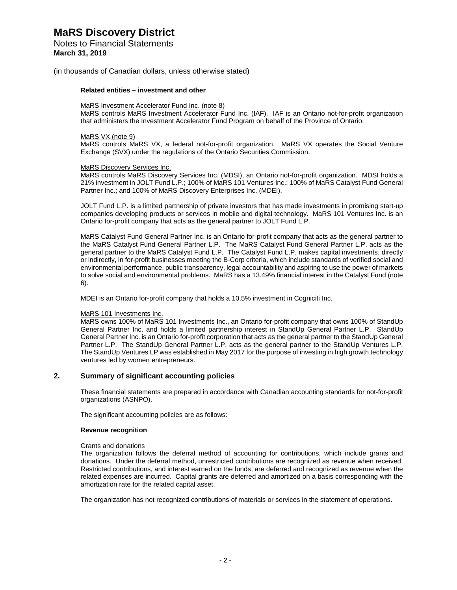# Notes to Financial Statements **March 31, 2019**

(in thousands of Canadian dollars, unless otherwise stated)

### **Related entities – investment and other**

#### MaRS Investment Accelerator Fund Inc. (note 8)

MaRS controls MaRS Investment Accelerator Fund Inc. (IAF). IAF is an Ontario not-for-profit organization that administers the Investment Accelerator Fund Program on behalf of the Province of Ontario.

#### MaRS VX (note 9)

MaRS controls MaRS VX, a federal not-for-profit organization. MaRS VX operates the Social Venture Exchange (SVX) under the regulations of the Ontario Securities Commission.

#### MaRS Discovery Services Inc.

MaRS controls MaRS Discovery Services Inc. (MDSI), an Ontario not-for-profit organization. MDSI holds a 21% investment in JOLT Fund L.P.; 100% of MaRS 101 Ventures Inc.; 100% of MaRS Catalyst Fund General Partner Inc.; and 100% of MaRS Discovery Enterprises Inc. (MDEI).

JOLT Fund L.P. is a limited partnership of private investors that has made investments in promising start-up companies developing products or services in mobile and digital technology. MaRS 101 Ventures Inc. is an Ontario for-profit company that acts as the general partner to JOLT Fund L.P.

MaRS Catalyst Fund General Partner Inc. is an Ontario for-profit company that acts as the general partner to the MaRS Catalyst Fund General Partner L.P. The MaRS Catalyst Fund General Partner L.P. acts as the general partner to the MaRS Catalyst Fund L.P. The Catalyst Fund L.P. makes capital investments, directly or indirectly, in for-profit businesses meeting the B-Corp criteria, which include standards of verified social and environmental performance, public transparency, legal accountability and aspiring to use the power of markets to solve social and environmental problems. MaRS has a 13.49% financial interest in the Catalyst Fund (note 6).

MDEI is an Ontario for-profit company that holds a 10.5% investment in Cogniciti Inc.

#### MaRS 101 Investments Inc.

MaRS owns 100% of MaRS 101 Investments Inc., an Ontario for-profit company that owns 100% of StandUp General Partner Inc. and holds a limited partnership interest in StandUp General Partner L.P. StandUp General Partner Inc. is an Ontario for-profit corporation that acts as the general partner to the StandUp General Partner L.P. The StandUp General Partner L.P. acts as the general partner to the StandUp Ventures L.P. The StandUp Ventures LP was established in May 2017 for the purpose of investing in high growth technology ventures led by women entrepreneurs.

### **2. Summary of significant accounting policies**

These financial statements are prepared in accordance with Canadian accounting standards for not-for-profit organizations (ASNPO).

The significant accounting policies are as follows:

#### **Revenue recognition**

#### Grants and donations

The organization follows the deferral method of accounting for contributions, which include grants and donations. Under the deferral method, unrestricted contributions are recognized as revenue when received. Restricted contributions, and interest earned on the funds, are deferred and recognized as revenue when the related expenses are incurred. Capital grants are deferred and amortized on a basis corresponding with the amortization rate for the related capital asset.

The organization has not recognized contributions of materials or services in the statement of operations.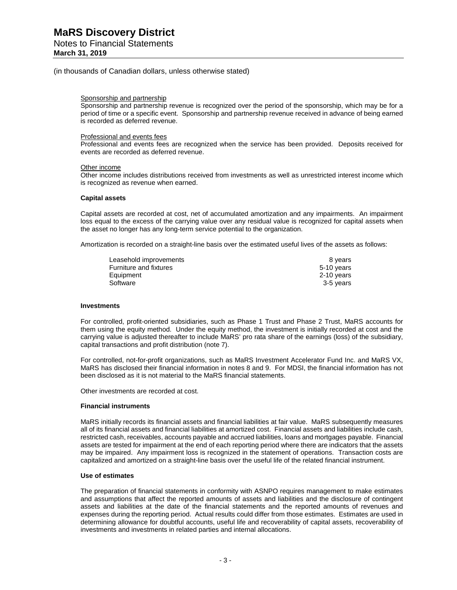#### Notes to Financial Statements **March 31, 2019**

(in thousands of Canadian dollars, unless otherwise stated)

### Sponsorship and partnership

Sponsorship and partnership revenue is recognized over the period of the sponsorship, which may be for a period of time or a specific event. Sponsorship and partnership revenue received in advance of being earned is recorded as deferred revenue.

#### Professional and events fees

Professional and events fees are recognized when the service has been provided. Deposits received for events are recorded as deferred revenue.

#### Other income

Other income includes distributions received from investments as well as unrestricted interest income which is recognized as revenue when earned.

#### **Capital assets**

Capital assets are recorded at cost, net of accumulated amortization and any impairments. An impairment loss equal to the excess of the carrying value over any residual value is recognized for capital assets when the asset no longer has any long-term service potential to the organization.

Amortization is recorded on a straight-line basis over the estimated useful lives of the assets as follows:

| Leasehold improvements | 8 vears    |
|------------------------|------------|
| Furniture and fixtures | 5-10 vears |
| Equipment              | 2-10 vears |
| Software               | 3-5 vears  |

#### **Investments**

For controlled, profit-oriented subsidiaries, such as Phase 1 Trust and Phase 2 Trust, MaRS accounts for them using the equity method. Under the equity method, the investment is initially recorded at cost and the carrying value is adjusted thereafter to include MaRS' pro rata share of the earnings (loss) of the subsidiary, capital transactions and profit distribution (note 7).

For controlled, not-for-profit organizations, such as MaRS Investment Accelerator Fund Inc. and MaRS VX, MaRS has disclosed their financial information in notes 8 and 9. For MDSI, the financial information has not been disclosed as it is not material to the MaRS financial statements.

Other investments are recorded at cost.

### **Financial instruments**

MaRS initially records its financial assets and financial liabilities at fair value. MaRS subsequently measures all of its financial assets and financial liabilities at amortized cost. Financial assets and liabilities include cash, restricted cash, receivables, accounts payable and accrued liabilities, loans and mortgages payable. Financial assets are tested for impairment at the end of each reporting period where there are indicators that the assets may be impaired. Any impairment loss is recognized in the statement of operations. Transaction costs are capitalized and amortized on a straight-line basis over the useful life of the related financial instrument.

### **Use of estimates**

The preparation of financial statements in conformity with ASNPO requires management to make estimates and assumptions that affect the reported amounts of assets and liabilities and the disclosure of contingent assets and liabilities at the date of the financial statements and the reported amounts of revenues and expenses during the reporting period. Actual results could differ from those estimates. Estimates are used in determining allowance for doubtful accounts, useful life and recoverability of capital assets, recoverability of investments and investments in related parties and internal allocations.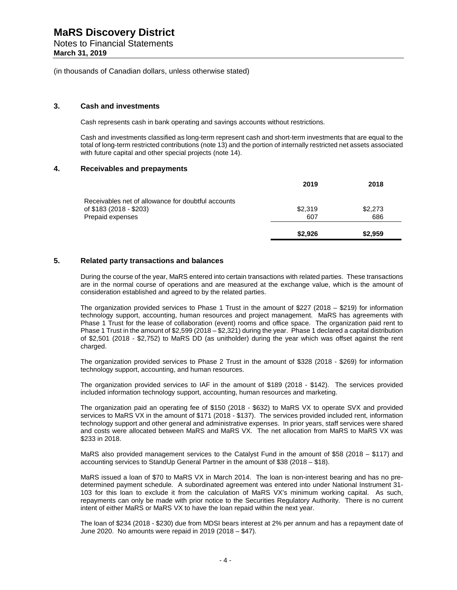## Notes to Financial Statements **March 31, 2019**

(in thousands of Canadian dollars, unless otherwise stated)

# **3. Cash and investments**

Cash represents cash in bank operating and savings accounts without restrictions.

Cash and investments classified as long-term represent cash and short-term investments that are equal to the total of long-term restricted contributions (note 13) and the portion of internally restricted net assets associated with future capital and other special projects (note 14).

## **4. Receivables and prepayments**

|                                                    | 2019    | 2018    |
|----------------------------------------------------|---------|---------|
| Receivables net of allowance for doubtful accounts |         |         |
| of \$183 (2018 - \$203)                            | \$2,319 | \$2,273 |
| Prepaid expenses                                   | 607     | 686     |
|                                                    | \$2,926 | \$2,959 |

## **5. Related party transactions and balances**

During the course of the year, MaRS entered into certain transactions with related parties. These transactions are in the normal course of operations and are measured at the exchange value, which is the amount of consideration established and agreed to by the related parties.

The organization provided services to Phase 1 Trust in the amount of \$227 (2018 – \$219) for information technology support, accounting, human resources and project management. MaRS has agreements with Phase 1 Trust for the lease of collaboration (event) rooms and office space. The organization paid rent to Phase 1 Trust in the amount of \$2,599 (2018 – \$2,321) during the year. Phase 1 declared a capital distribution of \$2,501 (2018 - \$2,752) to MaRS DD (as unitholder) during the year which was offset against the rent charged.

The organization provided services to Phase 2 Trust in the amount of \$328 (2018 - \$269) for information technology support, accounting, and human resources.

The organization provided services to IAF in the amount of \$189 (2018 - \$142). The services provided included information technology support, accounting, human resources and marketing.

The organization paid an operating fee of \$150 (2018 - \$632) to MaRS VX to operate SVX and provided services to MaRS VX in the amount of \$171 (2018 - \$137). The services provided included rent, information technology support and other general and administrative expenses. In prior years, staff services were shared and costs were allocated between MaRS and MaRS VX. The net allocation from MaRS to MaRS VX was \$233 in 2018.

MaRS also provided management services to the Catalyst Fund in the amount of \$58 (2018 – \$117) and accounting services to StandUp General Partner in the amount of \$38 (2018 – \$18).

MaRS issued a loan of \$70 to MaRS VX in March 2014. The loan is non-interest bearing and has no predetermined payment schedule. A subordinated agreement was entered into under National Instrument 31- 103 for this loan to exclude it from the calculation of MaRS VX's minimum working capital. As such, repayments can only be made with prior notice to the Securities Regulatory Authority. There is no current intent of either MaRS or MaRS VX to have the loan repaid within the next year.

The loan of \$234 (2018 - \$230) due from MDSI bears interest at 2% per annum and has a repayment date of June 2020. No amounts were repaid in 2019 (2018 – \$47).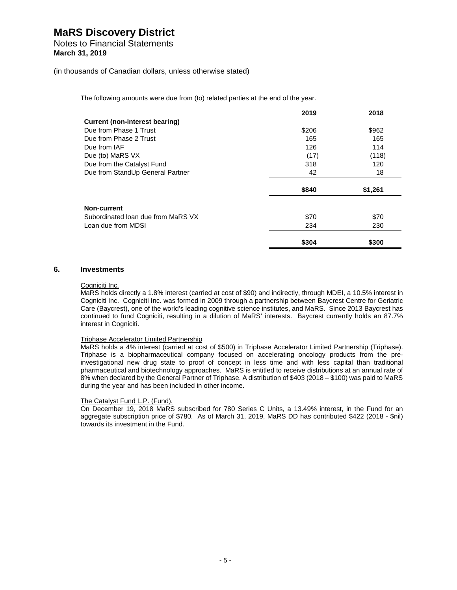## Notes to Financial Statements **March 31, 2019**

(in thousands of Canadian dollars, unless otherwise stated)

The following amounts were due from (to) related parties at the end of the year.

|                                       | 2019  | 2018    |
|---------------------------------------|-------|---------|
| <b>Current (non-interest bearing)</b> |       |         |
| Due from Phase 1 Trust                | \$206 | \$962   |
| Due from Phase 2 Trust                | 165   | 165     |
| Due from IAF                          | 126   | 114     |
| Due (to) MaRS VX                      | (17)  | (118)   |
| Due from the Catalyst Fund            | 318   | 120     |
| Due from StandUp General Partner      | 42    | 18      |
|                                       | \$840 | \$1,261 |
| Non-current                           |       |         |
| Subordinated loan due from MaRS VX    | \$70  | \$70    |
| Loan due from MDSI                    | 234   | 230     |
|                                       | \$304 | \$300   |

### **6. Investments**

#### Cogniciti Inc.

MaRS holds directly a 1.8% interest (carried at cost of \$90) and indirectly, through MDEI, a 10.5% interest in Cogniciti Inc. Cogniciti Inc. was formed in 2009 through a partnership between Baycrest Centre for Geriatric Care (Baycrest), one of the world's leading cognitive science institutes, and MaRS. Since 2013 Baycrest has continued to fund Cogniciti, resulting in a dilution of MaRS' interests. Baycrest currently holds an 87.7% interest in Cogniciti.

#### Triphase Accelerator Limited Partnership

MaRS holds a 4% interest (carried at cost of \$500) in Triphase Accelerator Limited Partnership (Triphase). Triphase is a biopharmaceutical company focused on accelerating oncology products from the preinvestigational new drug state to proof of concept in less time and with less capital than traditional pharmaceutical and biotechnology approaches. MaRS is entitled to receive distributions at an annual rate of 8% when declared by the General Partner of Triphase. A distribution of \$403 (2018 – \$100) was paid to MaRS during the year and has been included in other income.

### The Catalyst Fund L.P. (Fund).

On December 19, 2018 MaRS subscribed for 780 Series C Units, a 13.49% interest, in the Fund for an aggregate subscription price of \$780. As of March 31, 2019, MaRS DD has contributed \$422 (2018 - \$nil) towards its investment in the Fund.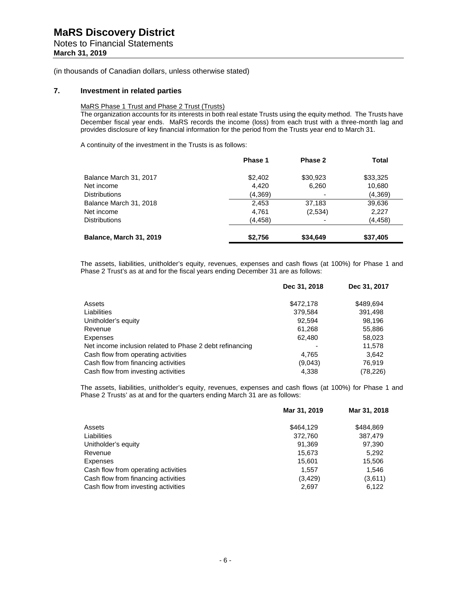## Notes to Financial Statements **March 31, 2019**

(in thousands of Canadian dollars, unless otherwise stated)

# **7. Investment in related parties**

## MaRS Phase 1 Trust and Phase 2 Trust (Trusts)

The organization accounts for its interests in both real estate Trusts using the equity method. The Trusts have December fiscal year ends. MaRS records the income (loss) from each trust with a three-month lag and provides disclosure of key financial information for the period from the Trusts year end to March 31.

A continuity of the investment in the Trusts is as follows:

|                                | Phase 1  | Phase 2                  | Total    |
|--------------------------------|----------|--------------------------|----------|
| Balance March 31, 2017         | \$2,402  | \$30,923                 | \$33,325 |
| Net income                     | 4.420    | 6,260                    | 10,680   |
| <b>Distributions</b>           | (4, 369) | ٠                        | (4,369)  |
| Balance March 31, 2018         | 2.453    | 37,183                   | 39,636   |
| Net income                     | 4,761    | (2,534)                  | 2,227    |
| <b>Distributions</b>           | (4, 458) | $\overline{\phantom{a}}$ | (4, 458) |
| <b>Balance, March 31, 2019</b> | \$2,756  | \$34,649                 | \$37,405 |

The assets, liabilities, unitholder's equity, revenues, expenses and cash flows (at 100%) for Phase 1 and Phase 2 Trust's as at and for the fiscal years ending December 31 are as follows:

|                                                          | Dec 31, 2018 | Dec 31, 2017 |
|----------------------------------------------------------|--------------|--------------|
| Assets                                                   | \$472,178    | \$489,694    |
| Liabilities                                              | 379,584      | 391,498      |
| Unitholder's equity                                      | 92,594       | 98,196       |
| Revenue                                                  | 61,268       | 55,886       |
| Expenses                                                 | 62,480       | 58,023       |
| Net income inclusion related to Phase 2 debt refinancing |              | 11,578       |
| Cash flow from operating activities                      | 4,765        | 3,642        |
| Cash flow from financing activities                      | (9,043)      | 76.919       |
| Cash flow from investing activities                      | 4.338        | (78,226)     |

The assets, liabilities, unitholder's equity, revenues, expenses and cash flows (at 100%) for Phase 1 and Phase 2 Trusts' as at and for the quarters ending March 31 are as follows:

|                                     | Mar 31, 2019 | Mar 31, 2018 |
|-------------------------------------|--------------|--------------|
| Assets                              | \$464,129    | \$484,869    |
| Liabilities                         | 372.760      | 387,479      |
| Unitholder's equity                 | 91,369       | 97,390       |
| Revenue                             | 15,673       | 5,292        |
| Expenses                            | 15.601       | 15,506       |
| Cash flow from operating activities | 1,557        | 1,546        |
| Cash flow from financing activities | (3, 429)     | (3,611)      |
| Cash flow from investing activities | 2,697        | 6,122        |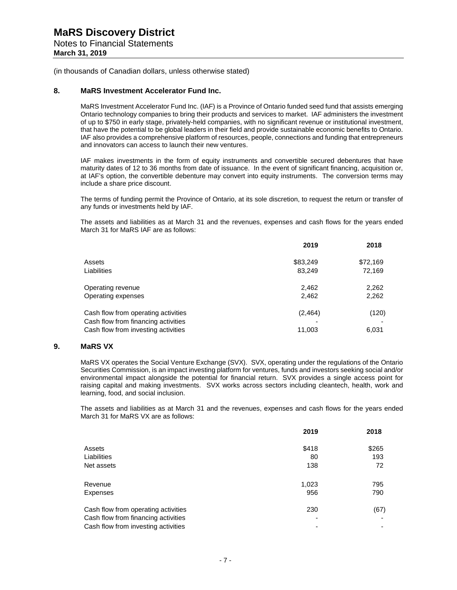Notes to Financial Statements **March 31, 2019** 

(in thousands of Canadian dollars, unless otherwise stated)

# **8. MaRS Investment Accelerator Fund Inc.**

MaRS Investment Accelerator Fund Inc. (IAF) is a Province of Ontario funded seed fund that assists emerging Ontario technology companies to bring their products and services to market. IAF administers the investment of up to \$750 in early stage, privately-held companies, with no significant revenue or institutional investment, that have the potential to be global leaders in their field and provide sustainable economic benefits to Ontario. IAF also provides a comprehensive platform of resources, people, connections and funding that entrepreneurs and innovators can access to launch their new ventures.

IAF makes investments in the form of equity instruments and convertible secured debentures that have maturity dates of 12 to 36 months from date of issuance. In the event of significant financing, acquisition or, at IAF's option, the convertible debenture may convert into equity instruments. The conversion terms may include a share price discount.

The terms of funding permit the Province of Ontario, at its sole discretion, to request the return or transfer of any funds or investments held by IAF.

The assets and liabilities as at March 31 and the revenues, expenses and cash flows for the years ended March 31 for MaRS IAF are as follows:

|                                     | 2019     | 2018     |
|-------------------------------------|----------|----------|
| Assets                              | \$83,249 | \$72,169 |
| Liabilities                         | 83.249   | 72,169   |
| Operating revenue                   | 2,462    | 2,262    |
| Operating expenses                  | 2,462    | 2,262    |
| Cash flow from operating activities | (2,464)  | (120)    |
| Cash flow from financing activities |          |          |
| Cash flow from investing activities | 11,003   | 6,031    |
|                                     |          |          |

### **9. MaRS VX**

MaRS VX operates the Social Venture Exchange (SVX). SVX, operating under the regulations of the Ontario Securities Commission, is an impact investing platform for ventures, funds and investors seeking social and/or environmental impact alongside the potential for financial return. SVX provides a single access point for raising capital and making investments. SVX works across sectors including cleantech, health, work and learning, food, and social inclusion.

The assets and liabilities as at March 31 and the revenues, expenses and cash flows for the years ended March 31 for MaRS VX are as follows:

|                                     | 2019  | 2018  |
|-------------------------------------|-------|-------|
| Assets                              | \$418 | \$265 |
| Liabilities                         | 80    | 193   |
| Net assets                          | 138   | 72    |
| Revenue                             | 1,023 | 795   |
| Expenses                            | 956   | 790   |
| Cash flow from operating activities | 230   | (67)  |
| Cash flow from financing activities |       |       |
| Cash flow from investing activities |       |       |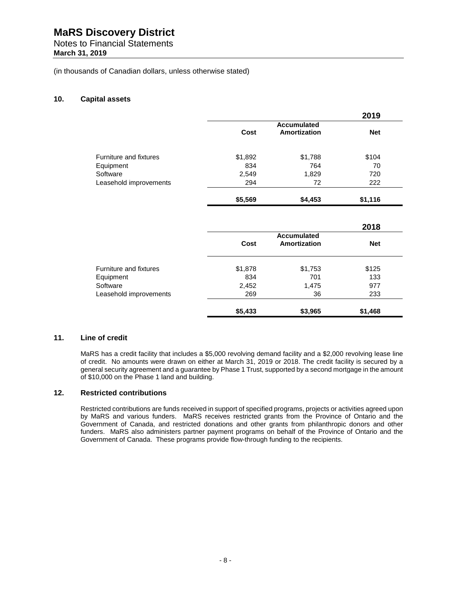## Notes to Financial Statements **March 31, 2019**

(in thousands of Canadian dollars, unless otherwise stated)

# **10. Capital assets**

|                        |         |                                           | 2019       |
|------------------------|---------|-------------------------------------------|------------|
|                        | Cost    | <b>Accumulated</b><br><b>Amortization</b> | <b>Net</b> |
| Furniture and fixtures | \$1,892 | \$1,788                                   | \$104      |
| Equipment              | 834     | 764                                       | 70         |
| Software               | 2,549   | 1,829                                     | 720        |
| Leasehold improvements | 294     | 72                                        | 222        |
|                        | \$5,569 | \$4,453                                   | \$1,116    |
|                        |         |                                           | 2018       |
|                        | Cost    | <b>Accumulated</b><br><b>Amortization</b> | <b>Net</b> |
| Furniture and fixtures | \$1,878 | \$1,753                                   | \$125      |
| Equipment              | 834     | 701                                       | 133        |
| Software               | 2,452   | 1,475                                     | 977        |
| Leasehold improvements | 269     | 36                                        | 233        |
|                        | \$5,433 | \$3,965                                   | \$1,468    |

# **11. Line of credit**

MaRS has a credit facility that includes a \$5,000 revolving demand facility and a \$2,000 revolving lease line of credit. No amounts were drawn on either at March 31, 2019 or 2018. The credit facility is secured by a general security agreement and a guarantee by Phase 1 Trust, supported by a second mortgage in the amount of \$10,000 on the Phase 1 land and building.

# **12. Restricted contributions**

Restricted contributions are funds received in support of specified programs, projects or activities agreed upon by MaRS and various funders. MaRS receives restricted grants from the Province of Ontario and the Government of Canada, and restricted donations and other grants from philanthropic donors and other funders. MaRS also administers partner payment programs on behalf of the Province of Ontario and the Government of Canada. These programs provide flow-through funding to the recipients.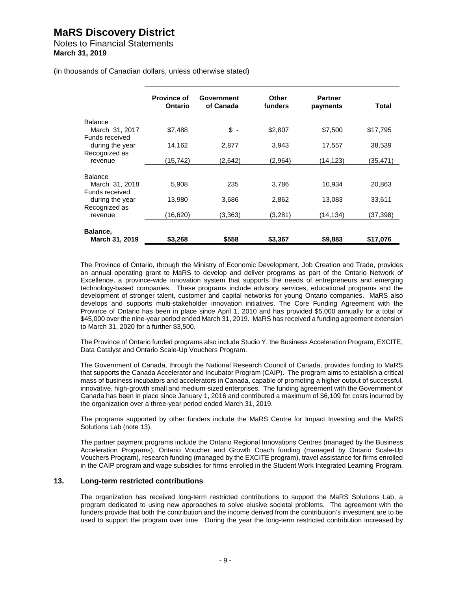## Notes to Financial Statements **March 31, 2019**

|                                             | <b>Province of</b><br>Ontario | Government<br>of Canada | Other<br>funders | <b>Partner</b><br>payments | Total     |
|---------------------------------------------|-------------------------------|-------------------------|------------------|----------------------------|-----------|
| Balance<br>March 31, 2017<br>Funds received | \$7,488                       | $\frac{1}{2}$ -         | \$2,807          | \$7,500                    | \$17,795  |
| during the year<br>Recognized as            | 14.162                        | 2.877                   | 3.943            | 17,557                     | 38,539    |
| revenue                                     | (15, 742)                     | (2,642)                 | (2,964)          | (14, 123)                  | (35,471)  |
| <b>Balance</b>                              |                               |                         |                  |                            |           |
| March 31, 2018<br>Funds received            | 5.908                         | 235                     | 3.786            | 10.934                     | 20,863    |
| during the year                             | 13,980                        | 3,686                   | 2,862            | 13,083                     | 33,611    |
| Recognized as<br>revenue                    | (16, 620)                     | (3,363)                 | (3,281)          | (14, 134)                  | (37, 398) |
| Balance,                                    |                               |                         |                  |                            |           |
| March 31, 2019                              | \$3,268                       | \$558                   | \$3,367          | \$9,883                    | \$17,076  |

(in thousands of Canadian dollars, unless otherwise stated)

The Province of Ontario, through the Ministry of Economic Development, Job Creation and Trade, provides an annual operating grant to MaRS to develop and deliver programs as part of the Ontario Network of Excellence, a province-wide innovation system that supports the needs of entrepreneurs and emerging technology-based companies. These programs include advisory services, educational programs and the development of stronger talent, customer and capital networks for young Ontario companies. MaRS also develops and supports multi-stakeholder innovation initiatives. The Core Funding Agreement with the Province of Ontario has been in place since April 1, 2010 and has provided \$5,000 annually for a total of \$45,000 over the nine-year period ended March 31, 2019. MaRS has received a funding agreement extension to March 31, 2020 for a further \$3,500.

The Province of Ontario funded programs also include Studio Y, the Business Acceleration Program, EXCITE, Data Catalyst and Ontario Scale-Up Vouchers Program.

The Government of Canada, through the National Research Council of Canada, provides funding to MaRS that supports the Canada Accelerator and Incubator Program (CAIP). The program aims to establish a critical mass of business incubators and accelerators in Canada, capable of promoting a higher output of successful, innovative, high-growth small and medium-sized enterprises. The funding agreement with the Government of Canada has been in place since January 1, 2016 and contributed a maximum of \$6,109 for costs incurred by the organization over a three-year period ended March 31, 2019.

The programs supported by other funders include the MaRS Centre for Impact Investing and the MaRS Solutions Lab (note 13).

The partner payment programs include the Ontario Regional Innovations Centres (managed by the Business Acceleration Programs), Ontario Voucher and Growth Coach funding (managed by Ontario Scale-Up Vouchers Program), research funding (managed by the EXCITE program), travel assistance for firms enrolled in the CAIP program and wage subsidies for firms enrolled in the Student Work Integrated Learning Program.

# **13. Long-term restricted contributions**

The organization has received long-term restricted contributions to support the MaRS Solutions Lab, a program dedicated to using new approaches to solve elusive societal problems. The agreement with the funders provide that both the contribution and the income derived from the contribution's investment are to be used to support the program over time. During the year the long-term restricted contribution increased by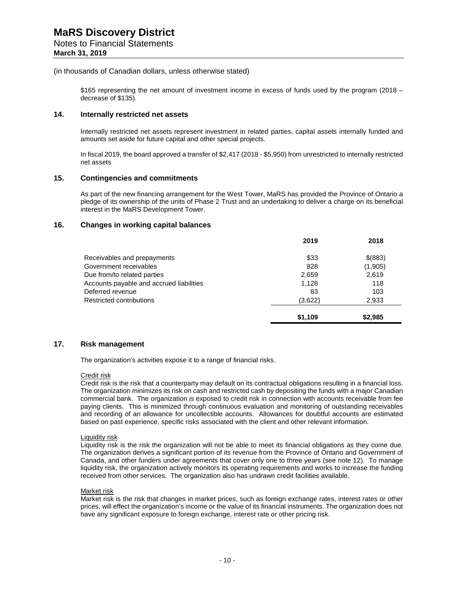(in thousands of Canadian dollars, unless otherwise stated)

\$165 representing the net amount of investment income in excess of funds used by the program (2018 – decrease of \$135).

# **14. Internally restricted net assets**

Internally restricted net assets represent investment in related parties, capital assets internally funded and amounts set aside for future capital and other special projects.

In fiscal 2019, the board approved a transfer of \$2,417 (2018 - \$5,950) from unrestricted to internally restricted net assets

### **15. Contingencies and commitments**

As part of the new financing arrangement for the West Tower, MaRS has provided the Province of Ontario a pledge of its ownership of the units of Phase 2 Trust and an undertaking to deliver a charge on its beneficial interest in the MaRS Development Tower.

# **16. Changes in working capital balances**

|                                          | 2019    | 2018    |
|------------------------------------------|---------|---------|
| Receivables and prepayments              | \$33    | \$(883) |
| Government receivables                   | 828     | (1,905) |
| Due from/to related parties              | 2,659   | 2,619   |
| Accounts payable and accrued liabilities | 1,128   | 118     |
| Deferred revenue                         | 83      | 103     |
| Restricted contributions                 | (3,622) | 2,933   |
|                                          | \$1,109 | \$2,985 |

### **17. Risk management**

The organization's activities expose it to a range of financial risks.

### Credit risk

Credit risk is the risk that a counterparty may default on its contractual obligations resulting in a financial loss. The organization minimizes its risk on cash and restricted cash by depositing the funds with a major Canadian commercial bank. The organization is exposed to credit risk in connection with accounts receivable from fee paying clients. This is minimized through continuous evaluation and monitoring of outstanding receivables and recording of an allowance for uncollectible accounts. Allowances for doubtful accounts are estimated based on past experience, specific risks associated with the client and other relevant information.

#### Liquidity risk

Liquidity risk is the risk the organization will not be able to meet its financial obligations as they come due. The organization derives a significant portion of its revenue from the Province of Ontario and Government of Canada, and other funders under agreements that cover only one to three years (see note 12). To manage liquidity risk, the organization actively monitors its operating requirements and works to increase the funding received from other services. The organization also has undrawn credit facilities available.

#### Market risk

Market risk is the risk that changes in market prices, such as foreign exchange rates, interest rates or other prices, will effect the organization's income or the value of its financial instruments. The organization does not have any significant exposure to foreign exchange, interest rate or other pricing risk.